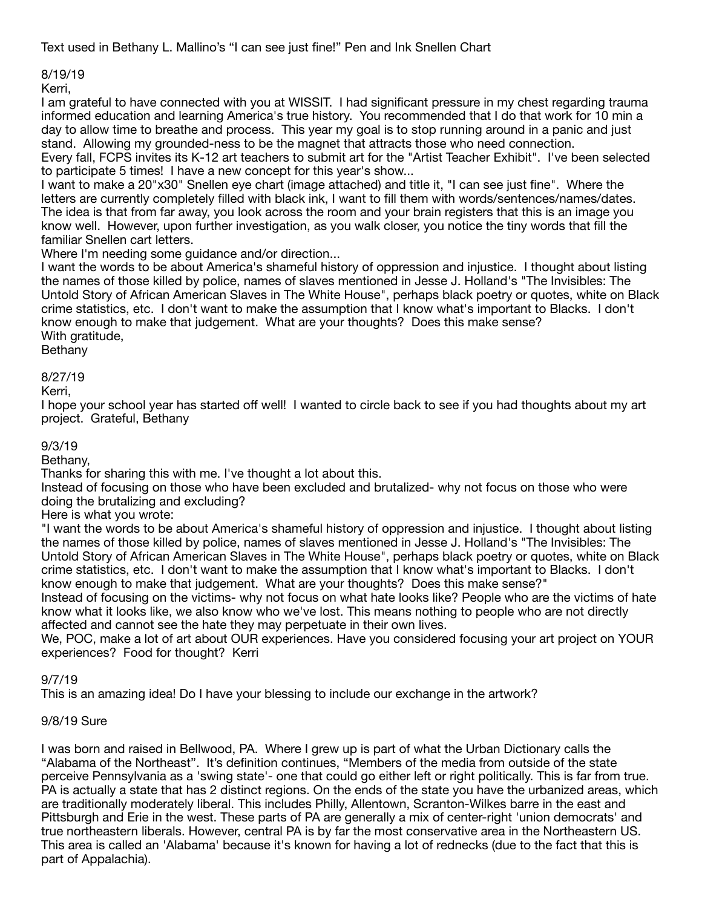Text used in Bethany L. Mallino's "I can see just fine!" Pen and Ink Snellen Chart

#### 8/19/19

Kerri,

I am grateful to have connected with you at WISSIT. I had significant pressure in my chest regarding trauma informed education and learning America's true history. You recommended that I do that work for 10 min a day to allow time to breathe and process. This year my goal is to stop running around in a panic and just stand. Allowing my grounded-ness to be the magnet that attracts those who need connection.

Every fall, FCPS invites its K-12 art teachers to submit art for the "Artist Teacher Exhibit". I've been selected to participate 5 times! I have a new concept for this year's show...

I want to make a 20"x30" Snellen eye chart (image attached) and title it, "I can see just fine". Where the letters are currently completely filled with black ink, I want to fill them with words/sentences/names/dates. The idea is that from far away, you look across the room and your brain registers that this is an image you know well. However, upon further investigation, as you walk closer, you notice the tiny words that fill the familiar Snellen cart letters.

Where I'm needing some guidance and/or direction...

I want the words to be about America's shameful history of oppression and injustice. I thought about listing the names of those killed by police, names of slaves mentioned in Jesse J. Holland's "The Invisibles: The Untold Story of African American Slaves in The White House", perhaps black poetry or quotes, white on Black crime statistics, etc. I don't want to make the assumption that I know what's important to Blacks. I don't know enough to make that judgement. What are your thoughts? Does this make sense? With gratitude,

**Bethany** 

8/27/19

Kerri,

I hope your school year has started off well! I wanted to circle back to see if you had thoughts about my art project. Grateful, Bethany

#### 9/3/19

Bethany,

Thanks for sharing this with me. I've thought a lot about this.

Instead of focusing on those who have been excluded and brutalized- why not focus on those who were doing the brutalizing and excluding?

Here is what you wrote:

"I want the words to be about America's shameful history of oppression and injustice. I thought about listing the names of those killed by police, names of slaves mentioned in Jesse J. Holland's "The Invisibles: The Untold Story of African American Slaves in The White House", perhaps black poetry or quotes, white on Black crime statistics, etc. I don't want to make the assumption that I know what's important to Blacks. I don't know enough to make that judgement. What are your thoughts? Does this make sense?"

Instead of focusing on the victims- why not focus on what hate looks like? People who are the victims of hate know what it looks like, we also know who we've lost. This means nothing to people who are not directly affected and cannot see the hate they may perpetuate in their own lives.

We, POC, make a lot of art about OUR experiences. Have you considered focusing your art project on YOUR experiences? Food for thought? Kerri

#### 9/7/19

This is an amazing idea! Do I have your blessing to include our exchange in the artwork?

#### 9/8/19 Sure

I was born and raised in Bellwood, PA. Where I grew up is part of what the Urban Dictionary calls the "Alabama of the Northeast". It's definition continues, "Members of the media from outside of the state perceive Pennsylvania as a 'swing state'- one that could go either left or right politically. This is far from true. PA is actually a state that has 2 distinct regions. On the ends of the state you have the urbanized areas, which are traditionally moderately liberal. This includes Philly, Allentown, Scranton-Wilkes barre in the east and Pittsburgh and Erie in the west. These parts of PA are generally a mix of center-right 'union democrats' and true northeastern liberals. However, central PA is by far the most conservative area in the Northeastern US. This area is called an 'Alabama' because it's known for having a lot of rednecks (due to the fact that this is part of Appalachia).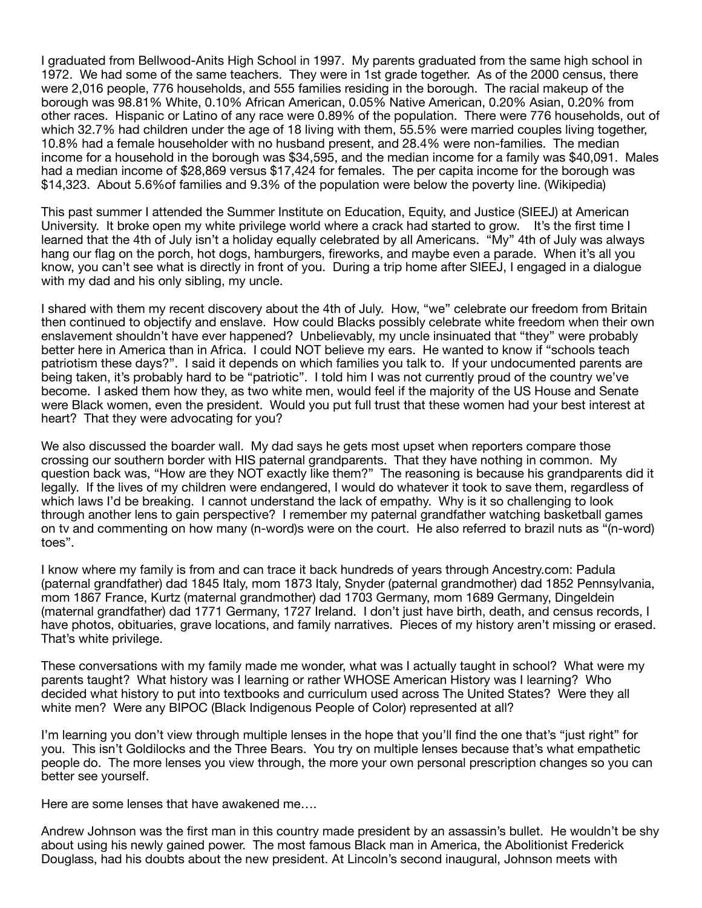I graduated from Bellwood-Anits High School in 1997. My parents graduated from the same high school in 1972. We had some of the same teachers. They were in 1st grade together. As of the 2000 census, there were 2,016 people, 776 households, and 555 families residing in the borough. The racial makeup of the borough was 98.81% White, 0.10% African American, 0.05% Native American, 0.20% Asian, 0.20% from other races. Hispanic or Latino of any race were 0.89% of the population. There were 776 households, out of which 32.7% had children under the age of 18 living with them, 55.5% were married couples living together, 10.8% had a female householder with no husband present, and 28.4% were non-families. The median income for a household in the borough was \$34,595, and the median income for a family was \$40,091. Males had a median income of \$28,869 versus \$17,424 for females. The per capita income for the borough was \$14,323. About 5.6%of families and 9.3% of the population were below the poverty line. (Wikipedia)

This past summer I attended the Summer Institute on Education, Equity, and Justice (SIEEJ) at American University. It broke open my white privilege world where a crack had started to grow. It's the first time I learned that the 4th of July isn't a holiday equally celebrated by all Americans. "My" 4th of July was always hang our flag on the porch, hot dogs, hamburgers, fireworks, and maybe even a parade. When it's all you know, you can't see what is directly in front of you. During a trip home after SIEEJ, I engaged in a dialogue with my dad and his only sibling, my uncle.

I shared with them my recent discovery about the 4th of July. How, "we" celebrate our freedom from Britain then continued to objectify and enslave. How could Blacks possibly celebrate white freedom when their own enslavement shouldn't have ever happened? Unbelievably, my uncle insinuated that "they" were probably better here in America than in Africa. I could NOT believe my ears. He wanted to know if "schools teach patriotism these days?". I said it depends on which families you talk to. If your undocumented parents are being taken, it's probably hard to be "patriotic". I told him I was not currently proud of the country we've become. I asked them how they, as two white men, would feel if the majority of the US House and Senate were Black women, even the president. Would you put full trust that these women had your best interest at heart? That they were advocating for you?

We also discussed the boarder wall. My dad says he gets most upset when reporters compare those crossing our southern border with HIS paternal grandparents. That they have nothing in common. My question back was, "How are they NOT exactly like them?" The reasoning is because his grandparents did it legally. If the lives of my children were endangered, I would do whatever it took to save them, regardless of which laws I'd be breaking. I cannot understand the lack of empathy. Why is it so challenging to look through another lens to gain perspective? I remember my paternal grandfather watching basketball games on tv and commenting on how many (n-word)s were on the court. He also referred to brazil nuts as "(n-word) toes".

I know where my family is from and can trace it back hundreds of years through Ancestry.com: Padula (paternal grandfather) dad 1845 Italy, mom 1873 Italy, Snyder (paternal grandmother) dad 1852 Pennsylvania, mom 1867 France, Kurtz (maternal grandmother) dad 1703 Germany, mom 1689 Germany, Dingeldein (maternal grandfather) dad 1771 Germany, 1727 Ireland. I don't just have birth, death, and census records, I have photos, obituaries, grave locations, and family narratives. Pieces of my history aren't missing or erased. That's white privilege.

These conversations with my family made me wonder, what was I actually taught in school? What were my parents taught? What history was I learning or rather WHOSE American History was I learning? Who decided what history to put into textbooks and curriculum used across The United States? Were they all white men? Were any BIPOC (Black Indigenous People of Color) represented at all?

I'm learning you don't view through multiple lenses in the hope that you'll find the one that's "just right" for you. This isn't Goldilocks and the Three Bears. You try on multiple lenses because that's what empathetic people do. The more lenses you view through, the more your own personal prescription changes so you can better see yourself.

Here are some lenses that have awakened me….

Andrew Johnson was the first man in this country made president by an assassin's bullet. He wouldn't be shy about using his newly gained power. The most famous Black man in America, the Abolitionist Frederick Douglass, had his doubts about the new president. At Lincoln's second inaugural, Johnson meets with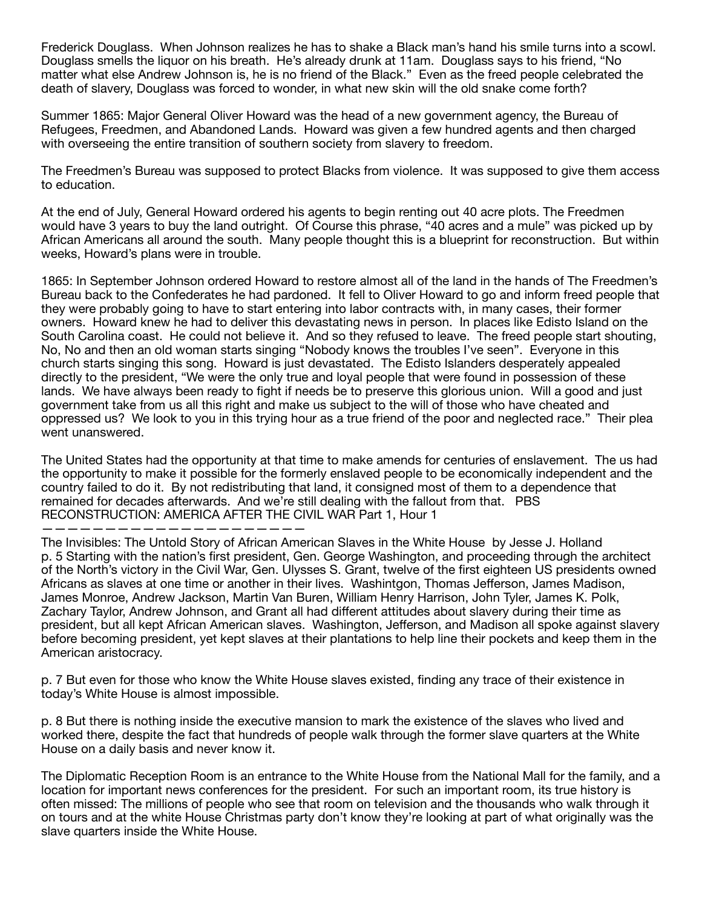Frederick Douglass. When Johnson realizes he has to shake a Black man's hand his smile turns into a scowl. Douglass smells the liquor on his breath. He's already drunk at 11am. Douglass says to his friend, "No matter what else Andrew Johnson is, he is no friend of the Black." Even as the freed people celebrated the death of slavery, Douglass was forced to wonder, in what new skin will the old snake come forth?

Summer 1865: Major General Oliver Howard was the head of a new government agency, the Bureau of Refugees, Freedmen, and Abandoned Lands. Howard was given a few hundred agents and then charged with overseeing the entire transition of southern society from slavery to freedom.

The Freedmen's Bureau was supposed to protect Blacks from violence. It was supposed to give them access to education.

At the end of July, General Howard ordered his agents to begin renting out 40 acre plots. The Freedmen would have 3 years to buy the land outright. Of Course this phrase, "40 acres and a mule" was picked up by African Americans all around the south. Many people thought this is a blueprint for reconstruction. But within weeks, Howard's plans were in trouble.

1865: In September Johnson ordered Howard to restore almost all of the land in the hands of The Freedmen's Bureau back to the Confederates he had pardoned. It fell to Oliver Howard to go and inform freed people that they were probably going to have to start entering into labor contracts with, in many cases, their former owners. Howard knew he had to deliver this devastating news in person. In places like Edisto Island on the South Carolina coast. He could not believe it. And so they refused to leave. The freed people start shouting, No, No and then an old woman starts singing "Nobody knows the troubles I've seen". Everyone in this church starts singing this song. Howard is just devastated. The Edisto Islanders desperately appealed directly to the president, "We were the only true and loyal people that were found in possession of these lands. We have always been ready to fight if needs be to preserve this glorious union. Will a good and just government take from us all this right and make us subject to the will of those who have cheated and oppressed us? We look to you in this trying hour as a true friend of the poor and neglected race." Their plea went unanswered.

The United States had the opportunity at that time to make amends for centuries of enslavement. The us had the opportunity to make it possible for the formerly enslaved people to be economically independent and the country failed to do it. By not redistributing that land, it consigned most of them to a dependence that remained for decades afterwards. And we're still dealing with the fallout from that. PBS RECONSTRUCTION: AMERICA AFTER THE CIVIL WAR Part 1, Hour 1

—————————————————————

The Invisibles: The Untold Story of African American Slaves in the White House by Jesse J. Holland p. 5 Starting with the nation's first president, Gen. George Washington, and proceeding through the architect of the North's victory in the Civil War, Gen. Ulysses S. Grant, twelve of the first eighteen US presidents owned Africans as slaves at one time or another in their lives. Washintgon, Thomas Jefferson, James Madison, James Monroe, Andrew Jackson, Martin Van Buren, William Henry Harrison, John Tyler, James K. Polk, Zachary Taylor, Andrew Johnson, and Grant all had different attitudes about slavery during their time as president, but all kept African American slaves. Washington, Jefferson, and Madison all spoke against slavery before becoming president, yet kept slaves at their plantations to help line their pockets and keep them in the American aristocracy.

p. 7 But even for those who know the White House slaves existed, finding any trace of their existence in today's White House is almost impossible.

p. 8 But there is nothing inside the executive mansion to mark the existence of the slaves who lived and worked there, despite the fact that hundreds of people walk through the former slave quarters at the White House on a daily basis and never know it.

The Diplomatic Reception Room is an entrance to the White House from the National Mall for the family, and a location for important news conferences for the president. For such an important room, its true history is often missed: The millions of people who see that room on television and the thousands who walk through it on tours and at the white House Christmas party don't know they're looking at part of what originally was the slave quarters inside the White House.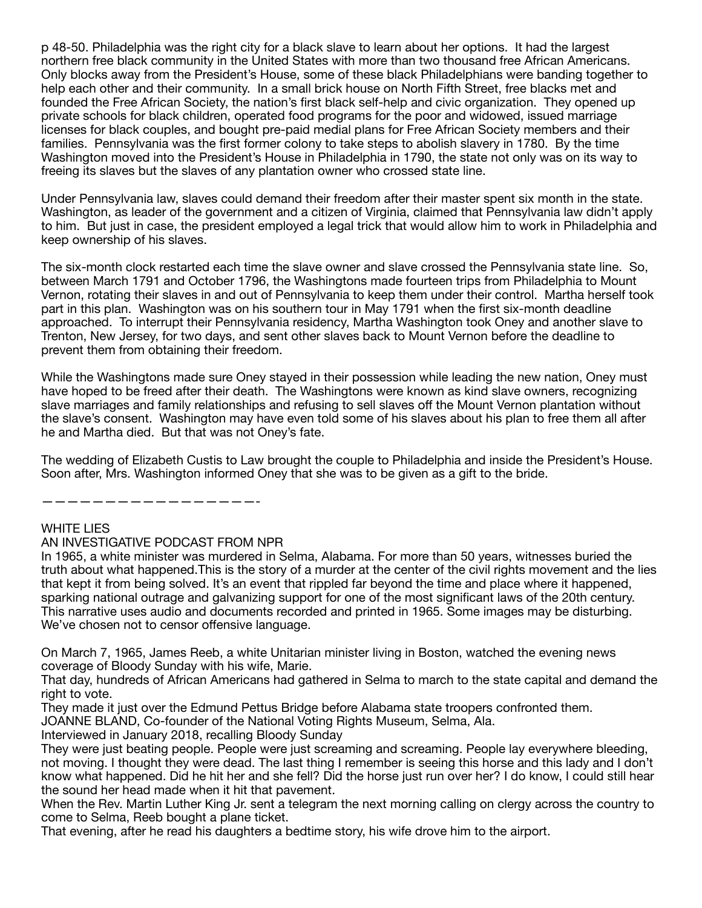p 48-50. Philadelphia was the right city for a black slave to learn about her options. It had the largest northern free black community in the United States with more than two thousand free African Americans. Only blocks away from the President's House, some of these black Philadelphians were banding together to help each other and their community. In a small brick house on North Fifth Street, free blacks met and founded the Free African Society, the nation's first black self-help and civic organization. They opened up private schools for black children, operated food programs for the poor and widowed, issued marriage licenses for black couples, and bought pre-paid medial plans for Free African Society members and their families. Pennsylvania was the first former colony to take steps to abolish slavery in 1780. By the time Washington moved into the President's House in Philadelphia in 1790, the state not only was on its way to freeing its slaves but the slaves of any plantation owner who crossed state line.

Under Pennsylvania law, slaves could demand their freedom after their master spent six month in the state. Washington, as leader of the government and a citizen of Virginia, claimed that Pennsylvania law didn't apply to him. But just in case, the president employed a legal trick that would allow him to work in Philadelphia and keep ownership of his slaves.

The six-month clock restarted each time the slave owner and slave crossed the Pennsylvania state line. So, between March 1791 and October 1796, the Washingtons made fourteen trips from Philadelphia to Mount Vernon, rotating their slaves in and out of Pennsylvania to keep them under their control. Martha herself took part in this plan. Washington was on his southern tour in May 1791 when the first six-month deadline approached. To interrupt their Pennsylvania residency, Martha Washington took Oney and another slave to Trenton, New Jersey, for two days, and sent other slaves back to Mount Vernon before the deadline to prevent them from obtaining their freedom.

While the Washingtons made sure Oney stayed in their possession while leading the new nation, Oney must have hoped to be freed after their death. The Washingtons were known as kind slave owners, recognizing slave marriages and family relationships and refusing to sell slaves off the Mount Vernon plantation without the slave's consent. Washington may have even told some of his slaves about his plan to free them all after he and Martha died. But that was not Oney's fate.

The wedding of Elizabeth Custis to Law brought the couple to Philadelphia and inside the President's House. Soon after, Mrs. Washington informed Oney that she was to be given as a gift to the bride.

# WHITE LIES

## AN INVESTIGATIVE PODCAST FROM NPR

—————————————————-

In 1965, a white minister was murdered in Selma, Alabama. For more than 50 years, witnesses buried the truth about what happened.This is the story of a murder at the center of the civil rights movement and the lies that kept it from being solved. It's an event that rippled far beyond the time and place where it happened, sparking national outrage and galvanizing support for one of the most significant laws of the 20th century. This narrative uses audio and documents recorded and printed in 1965. Some images may be disturbing. We've chosen not to censor offensive language.

On March 7, 1965, James Reeb, a white Unitarian minister living in Boston, watched the evening news coverage of Bloody Sunday with his wife, Marie.

That day, hundreds of African Americans had gathered in Selma to march to the state capital and demand the right to vote.

They made it just over the Edmund Pettus Bridge before Alabama state troopers confronted them.

JOANNE BLAND, Co-founder of the National Voting Rights Museum, Selma, Ala.

Interviewed in January 2018, recalling Bloody Sunday

They were just beating people. People were just screaming and screaming. People lay everywhere bleeding, not moving. I thought they were dead. The last thing I remember is seeing this horse and this lady and I don't know what happened. Did he hit her and she fell? Did the horse just run over her? I do know, I could still hear the sound her head made when it hit that pavement.

When the Rev. Martin Luther King Jr. sent a telegram the next morning calling on clergy across the country to come to Selma, Reeb bought a plane ticket.

That evening, after he read his daughters a bedtime story, his wife drove him to the airport.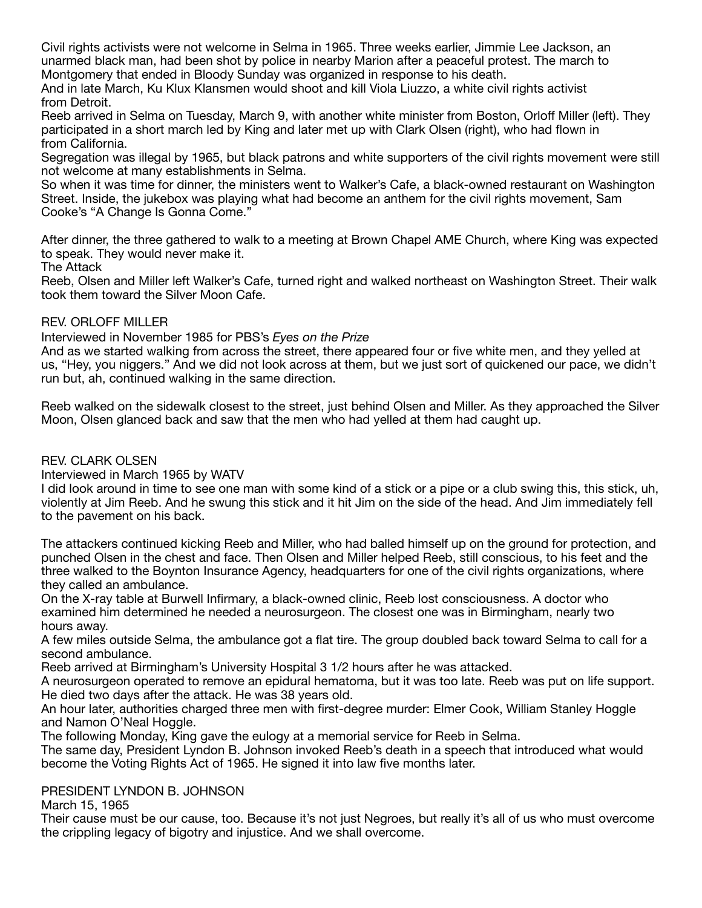Civil rights activists were not welcome in Selma in 1965. Three weeks earlier, Jimmie Lee Jackson, an unarmed black man, had been shot by police in nearby Marion after a peaceful protest. The march to Montgomery that ended in Bloody Sunday was organized in response to his death.

And in late March, Ku Klux Klansmen would shoot and kill Viola Liuzzo, a white civil rights activist from Detroit.

Reeb arrived in Selma on Tuesday, March 9, with another white minister from Boston, Orloff Miller (left). They participated in a short march led by King and later met up with Clark Olsen (right), who had flown in from California.

Segregation was illegal by 1965, but black patrons and white supporters of the civil rights movement were still not welcome at many establishments in Selma.

So when it was time for dinner, the ministers went to Walker's Cafe, a black-owned restaurant on Washington Street. Inside, the jukebox was playing what had become an anthem for the civil rights movement, Sam Cooke's "A Change Is Gonna Come."

After dinner, the three gathered to walk to a meeting at Brown Chapel AME Church, where King was expected to speak. They would never make it.

#### The Attack

Reeb, Olsen and Miller left Walker's Cafe, turned right and walked northeast on Washington Street. Their walk took them toward the Silver Moon Cafe.

#### REV. ORLOFF MILLER

#### Interviewed in November 1985 for PBS's *Eyes on the Prize*

And as we started walking from across the street, there appeared four or five white men, and they yelled at us, "Hey, you niggers." And we did not look across at them, but we just sort of quickened our pace, we didn't run but, ah, continued walking in the same direction.

Reeb walked on the sidewalk closest to the street, just behind Olsen and Miller. As they approached the Silver Moon, Olsen glanced back and saw that the men who had yelled at them had caught up.

REV. CLARK OLSEN

Interviewed in March 1965 by WATV

I did look around in time to see one man with some kind of a stick or a pipe or a club swing this, this stick, uh, violently at Jim Reeb. And he swung this stick and it hit Jim on the side of the head. And Jim immediately fell to the pavement on his back.

The attackers continued kicking Reeb and Miller, who had balled himself up on the ground for protection, and punched Olsen in the chest and face. Then Olsen and Miller helped Reeb, still conscious, to his feet and the three walked to the Boynton Insurance Agency, headquarters for one of the civil rights organizations, where they called an ambulance.

On the X-ray table at Burwell Infirmary, a black-owned clinic, Reeb lost consciousness. A doctor who examined him determined he needed a neurosurgeon. The closest one was in Birmingham, nearly two hours away.

A few miles outside Selma, the ambulance got a flat tire. The group doubled back toward Selma to call for a second ambulance.

Reeb arrived at Birmingham's University Hospital 3 1/2 hours after he was attacked.

A neurosurgeon operated to remove an epidural hematoma, but it was too late. Reeb was put on life support. He died two days after the attack. He was 38 years old.

An hour later, authorities charged three men with first-degree murder: Elmer Cook, William Stanley Hoggle and Namon O'Neal Hoggle.

The following Monday, King gave the eulogy at a memorial service for Reeb in Selma.

The same day, President Lyndon B. Johnson invoked Reeb's death in a speech that introduced what would become the Voting Rights Act of 1965. He signed it into law five months later.

#### PRESIDENT LYNDON B. JOHNSON

March 15, 1965

Their cause must be our cause, too. Because it's not just Negroes, but really it's all of us who must overcome the crippling legacy of bigotry and injustice. And we shall overcome.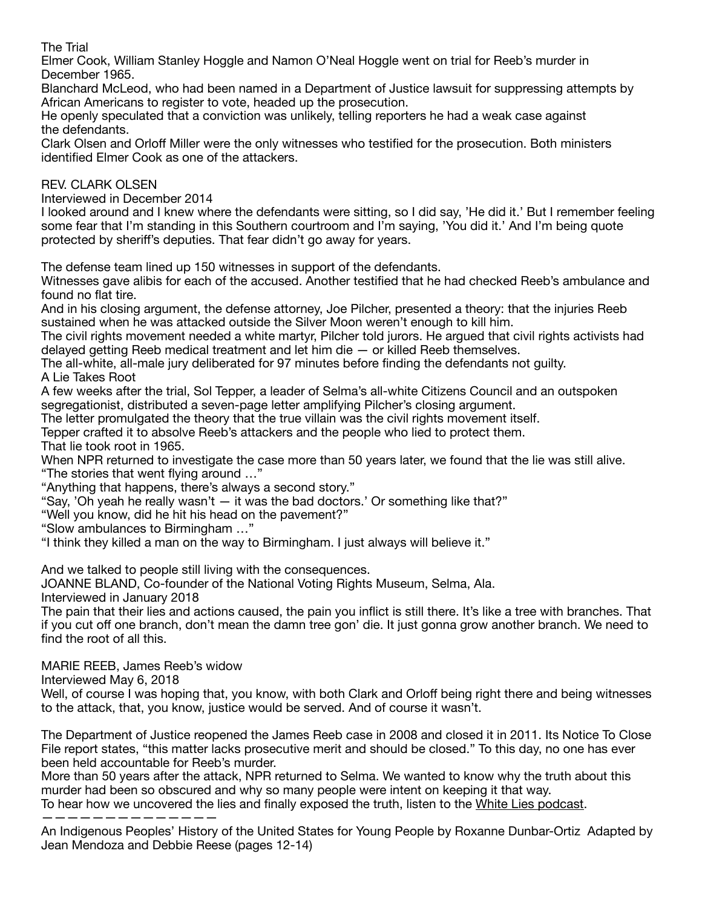The Trial

Elmer Cook, William Stanley Hoggle and Namon O'Neal Hoggle went on trial for Reeb's murder in December 1965.

Blanchard McLeod, who had been named in a Department of Justice lawsuit for suppressing attempts by African Americans to register to vote, headed up the prosecution.

He openly speculated that a conviction was unlikely, telling reporters he had a weak case against the defendants.

Clark Olsen and Orloff Miller were the only witnesses who testified for the prosecution. Both ministers identified Elmer Cook as one of the attackers.

REV. CLARK OLSEN

Interviewed in December 2014

I looked around and I knew where the defendants were sitting, so I did say, 'He did it.' But I remember feeling some fear that I'm standing in this Southern courtroom and I'm saying, 'You did it.' And I'm being quote protected by sheriff's deputies. That fear didn't go away for years.

The defense team lined up 150 witnesses in support of the defendants.

Witnesses gave alibis for each of the accused. Another testified that he had checked Reeb's ambulance and found no flat tire.

And in his closing argument, the defense attorney, Joe Pilcher, presented a theory: that the injuries Reeb sustained when he was attacked outside the Silver Moon weren't enough to kill him.

The civil rights movement needed a white martyr, Pilcher told jurors. He argued that civil rights activists had delayed getting Reeb medical treatment and let him die — or killed Reeb themselves.

The all-white, all-male jury deliberated for 97 minutes before finding the defendants not guilty. A Lie Takes Root

A few weeks after the trial, Sol Tepper, a leader of Selma's all-white Citizens Council and an outspoken segregationist, distributed a seven-page letter amplifying Pilcher's closing argument.

The letter promulgated the theory that the true villain was the civil rights movement itself.

Tepper crafted it to absolve Reeb's attackers and the people who lied to protect them.

That lie took root in 1965.

When NPR returned to investigate the case more than 50 years later, we found that the lie was still alive. "The stories that went flying around …"

"Anything that happens, there's always a second story."

"Say, 'Oh yeah he really wasn't — it was the bad doctors.' Or something like that?"

"Well you know, did he hit his head on the pavement?"

"Slow ambulances to Birmingham …"

"I think they killed a man on the way to Birmingham. I just always will believe it."

And we talked to people still living with the consequences.

JOANNE BLAND, Co-founder of the National Voting Rights Museum, Selma, Ala. Interviewed in January 2018

The pain that their lies and actions caused, the pain you inflict is still there. It's like a tree with branches. That if you cut off one branch, don't mean the damn tree gon' die. It just gonna grow another branch. We need to find the root of all this.

MARIE REEB, James Reeb's widow

Interviewed May 6, 2018

Well, of course I was hoping that, you know, with both Clark and Orloff being right there and being witnesses to the attack, that, you know, justice would be served. And of course it wasn't.

The Department of Justice reopened the James Reeb case in 2008 and closed it in 2011. Its Notice To Close File report states, "this matter lacks prosecutive merit and should be closed." To this day, no one has ever been held accountable for Reeb's murder.

More than 50 years after the attack, NPR returned to Selma. We wanted to know why the truth about this murder had been so obscured and why so many people were intent on keeping it that way. To hear how we uncovered the lies and finally exposed the truth, listen to the [White Lies](https://www.npr.org/podcasts/510343/white-lies) podcast.

—————————————— An Indigenous Peoples' History of the United States for Young People by Roxanne Dunbar-Ortiz Adapted by Jean Mendoza and Debbie Reese (pages 12-14)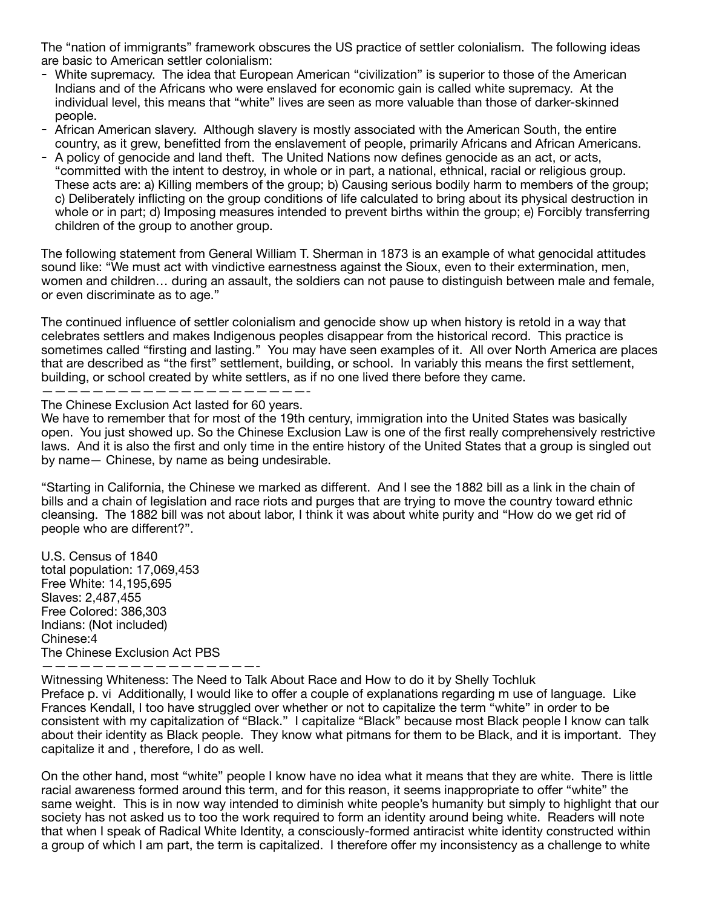The "nation of immigrants" framework obscures the US practice of settler colonialism. The following ideas are basic to American settler colonialism:

- White supremacy. The idea that European American "civilization" is superior to those of the American Indians and of the Africans who were enslaved for economic gain is called white supremacy. At the individual level, this means that "white" lives are seen as more valuable than those of darker-skinned people.
- African American slavery. Although slavery is mostly associated with the American South, the entire country, as it grew, benefitted from the enslavement of people, primarily Africans and African Americans.
- A policy of genocide and land theft. The United Nations now defines genocide as an act, or acts, "committed with the intent to destroy, in whole or in part, a national, ethnical, racial or religious group. These acts are: a) Killing members of the group; b) Causing serious bodily harm to members of the group; c) Deliberately inflicting on the group conditions of life calculated to bring about its physical destruction in whole or in part; d) Imposing measures intended to prevent births within the group; e) Forcibly transferring children of the group to another group.

The following statement from General William T. Sherman in 1873 is an example of what genocidal attitudes sound like: "We must act with vindictive earnestness against the Sioux, even to their extermination, men, women and children… during an assault, the soldiers can not pause to distinguish between male and female, or even discriminate as to age."

The continued influence of settler colonialism and genocide show up when history is retold in a way that celebrates settlers and makes Indigenous peoples disappear from the historical record. This practice is sometimes called "firsting and lasting." You may have seen examples of it. All over North America are places that are described as "the first" settlement, building, or school. In variably this means the first settlement, building, or school created by white settlers, as if no one lived there before they came.

#### The Chinese Exclusion Act lasted for 60 years.

—————————————————————-

We have to remember that for most of the 19th century, immigration into the United States was basically open. You just showed up. So the Chinese Exclusion Law is one of the first really comprehensively restrictive laws. And it is also the first and only time in the entire history of the United States that a group is singled out by name— Chinese, by name as being undesirable.

"Starting in California, the Chinese we marked as different. And I see the 1882 bill as a link in the chain of bills and a chain of legislation and race riots and purges that are trying to move the country toward ethnic cleansing. The 1882 bill was not about labor, I think it was about white purity and "How do we get rid of people who are different?".

U.S. Census of 1840 total population: 17,069,453 Free White: 14,195,695 Slaves: 2,487,455 Free Colored: 386,303 Indians: (Not included) Chinese:4 The Chinese Exclusion Act PBS

—————————————————- Witnessing Whiteness: The Need to Talk About Race and How to do it by Shelly Tochluk Preface p. vi Additionally, I would like to offer a couple of explanations regarding m use of language. Like Frances Kendall, I too have struggled over whether or not to capitalize the term "white" in order to be consistent with my capitalization of "Black." I capitalize "Black" because most Black people I know can talk about their identity as Black people. They know what pitmans for them to be Black, and it is important. They capitalize it and , therefore, I do as well.

On the other hand, most "white" people I know have no idea what it means that they are white. There is little racial awareness formed around this term, and for this reason, it seems inappropriate to offer "white" the same weight. This is in now way intended to diminish white people's humanity but simply to highlight that our society has not asked us to too the work required to form an identity around being white. Readers will note that when I speak of Radical White Identity, a consciously-formed antiracist white identity constructed within a group of which I am part, the term is capitalized. I therefore offer my inconsistency as a challenge to white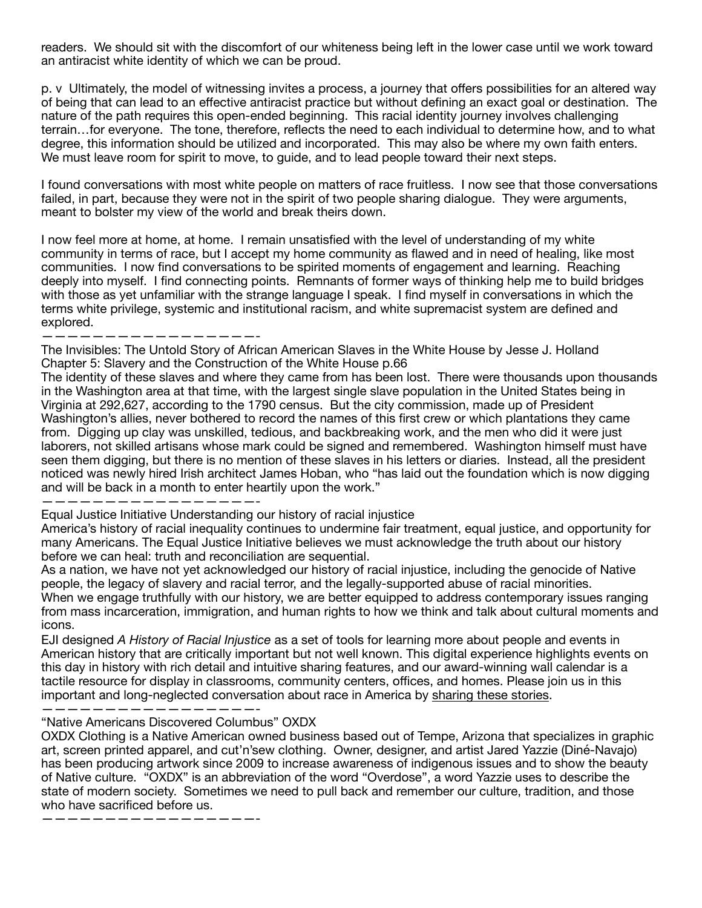readers. We should sit with the discomfort of our whiteness being left in the lower case until we work toward an antiracist white identity of which we can be proud.

p. v Ultimately, the model of witnessing invites a process, a journey that offers possibilities for an altered way of being that can lead to an effective antiracist practice but without defining an exact goal or destination. The nature of the path requires this open-ended beginning. This racial identity journey involves challenging terrain…for everyone. The tone, therefore, reflects the need to each individual to determine how, and to what degree, this information should be utilized and incorporated. This may also be where my own faith enters. We must leave room for spirit to move, to guide, and to lead people toward their next steps.

I found conversations with most white people on matters of race fruitless. I now see that those conversations failed, in part, because they were not in the spirit of two people sharing dialogue. They were arguments, meant to bolster my view of the world and break theirs down.

I now feel more at home, at home. I remain unsatisfied with the level of understanding of my white community in terms of race, but I accept my home community as flawed and in need of healing, like most communities. I now find conversations to be spirited moments of engagement and learning. Reaching deeply into myself. I find connecting points. Remnants of former ways of thinking help me to build bridges with those as yet unfamiliar with the strange language I speak. I find myself in conversations in which the terms white privilege, systemic and institutional racism, and white supremacist system are defined and explored.

#### —————————————————-

The Invisibles: The Untold Story of African American Slaves in the White House by Jesse J. Holland Chapter 5: Slavery and the Construction of the White House p.66

The identity of these slaves and where they came from has been lost. There were thousands upon thousands in the Washington area at that time, with the largest single slave population in the United States being in Virginia at 292,627, according to the 1790 census. But the city commission, made up of President Washington's allies, never bothered to record the names of this first crew or which plantations they came from. Digging up clay was unskilled, tedious, and backbreaking work, and the men who did it were just laborers, not skilled artisans whose mark could be signed and remembered. Washington himself must have seen them digging, but there is no mention of these slaves in his letters or diaries. Instead, all the president noticed was newly hired Irish architect James Hoban, who "has laid out the foundation which is now digging and will be back in a month to enter heartily upon the work."

#### —————————————————-

Equal Justice Initiative Understanding our history of racial injustice

America's history of racial inequality continues to undermine fair treatment, equal justice, and opportunity for many Americans. The Equal Justice Initiative believes we must acknowledge the truth about our history before we can heal: truth and reconciliation are sequential.

As a nation, we have not yet acknowledged our history of racial injustice, including the genocide of Native people, the legacy of slavery and racial terror, and the legally-supported abuse of racial minorities. When we engage truthfully with our history, we are better equipped to address contemporary issues ranging from mass incarceration, immigration, and human rights to how we think and talk about cultural moments and icons.

EJI designed *A History of Racial Injustice* as a set of tools for learning more about people and events in American history that are critically important but not well known. This digital experience highlights events on this day in history with rich detail and intuitive sharing features, and our award-winning wall calendar is a tactile resource for display in classrooms, community centers, offices, and homes. Please join us in this important and long-neglected conversation about race in America by [sharing these stories.](https://www.facebook.com/sharer/sharer.php?u=https%3A%2F%2Fcalendar.eji.org)

—————————————————-

#### "Native Americans Discovered Columbus" OXDX

OXDX Clothing is a Native American owned business based out of Tempe, Arizona that specializes in graphic art, screen printed apparel, and cut'n'sew clothing. Owner, designer, and artist Jared Yazzie (Diné-Navajo) has been producing artwork since 2009 to increase awareness of indigenous issues and to show the beauty of Native culture. "OXDX" is an abbreviation of the word "Overdose", a word Yazzie uses to describe the state of modern society. Sometimes we need to pull back and remember our culture, tradition, and those who have sacrificed before us.

—————————————————-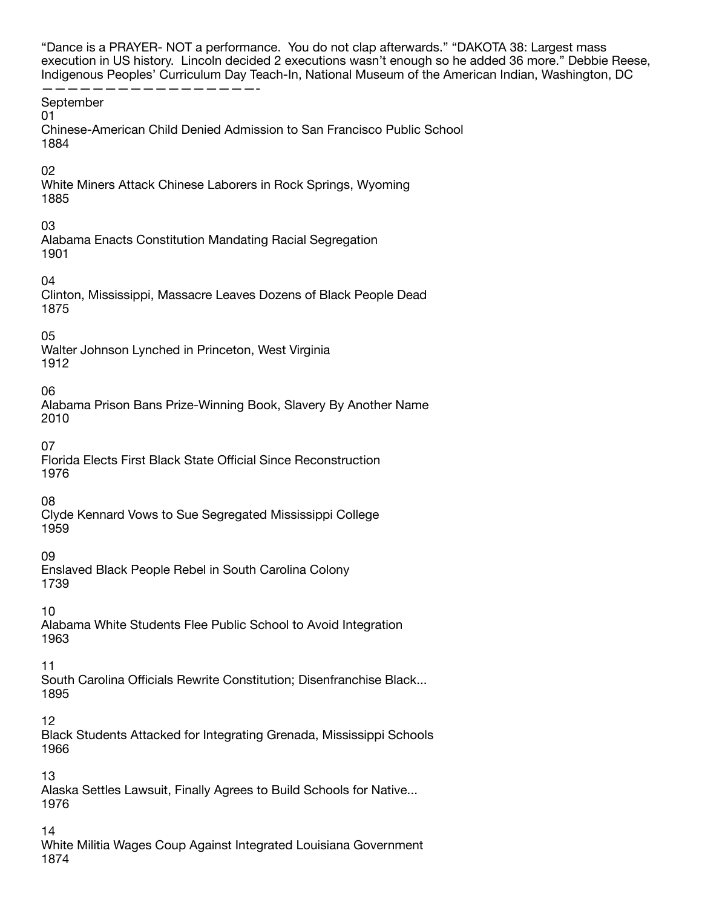"Dance is a PRAYER- NOT a performance. You do not clap afterwards." "DAKOTA 38: Largest mass execution in US history. Lincoln decided 2 executions wasn't enough so he added 36 more." Debbie Reese, Indigenous Peoples' Curriculum Day Teach-In, National Museum of the American Indian, Washington, DC

—————————————————- September 01 Chinese-American Child Denied Admission to San Francisco Public School 1884 02 White Miners Attack Chinese Laborers in Rock Springs, Wyoming 1885 03 Alabama Enacts Constitution Mandating Racial Segregation 1901 04 Clinton, Mississippi, Massacre Leaves Dozens of Black People Dead 1875 [05](https://calendar.eji.org/racial-injustice/sep/5) [Walter Johnson Lynched in Princeton, West Virginia](https://calendar.eji.org/racial-injustice/sep/5) [1912](https://calendar.eji.org/racial-injustice/sep/5) [06](https://calendar.eji.org/racial-injustice/sep/6) [Alabama Prison Bans Prize-Winning Book, Slavery By Another Name](https://calendar.eji.org/racial-injustice/sep/6) [2010](https://calendar.eji.org/racial-injustice/sep/6) [07](https://calendar.eji.org/racial-injustice/sep/7) [Florida Elects First Black State O](https://calendar.eji.org/racial-injustice/sep/7)fficial Since Reconstruction [1976](https://calendar.eji.org/racial-injustice/sep/7) [08](https://calendar.eji.org/racial-injustice/sep/8) [Clyde Kennard Vows to Sue Segregated Mississippi College](https://calendar.eji.org/racial-injustice/sep/8) [1959](https://calendar.eji.org/racial-injustice/sep/8) [09](https://calendar.eji.org/racial-injustice/sep/9) [Enslaved Black People Rebel in South Carolina Colony](https://calendar.eji.org/racial-injustice/sep/9) [1739](https://calendar.eji.org/racial-injustice/sep/9) [10](https://calendar.eji.org/racial-injustice/sep/10) [Alabama White Students Flee Public School to Avoid Integration](https://calendar.eji.org/racial-injustice/sep/10) [1963](https://calendar.eji.org/racial-injustice/sep/10) [11](https://calendar.eji.org/racial-injustice/sep/11) South Carolina Offi[cials Rewrite Constitution; Disenfranchise Black...](https://calendar.eji.org/racial-injustice/sep/11) [1895](https://calendar.eji.org/racial-injustice/sep/11) [12](https://calendar.eji.org/racial-injustice/sep/12) [Black Students Attacked for Integrating Grenada, Mississippi Schools](https://calendar.eji.org/racial-injustice/sep/12) [1966](https://calendar.eji.org/racial-injustice/sep/12) [13](https://calendar.eji.org/racial-injustice/sep/13) [Alaska Settles Lawsuit, Finally Agrees to Build Schools for Native...](https://calendar.eji.org/racial-injustice/sep/13) [1976](https://calendar.eji.org/racial-injustice/sep/13)

## [14](https://calendar.eji.org/racial-injustice/sep/14)

[White Militia Wages Coup Against Integrated Louisiana Government](https://calendar.eji.org/racial-injustice/sep/14) [1874](https://calendar.eji.org/racial-injustice/sep/14)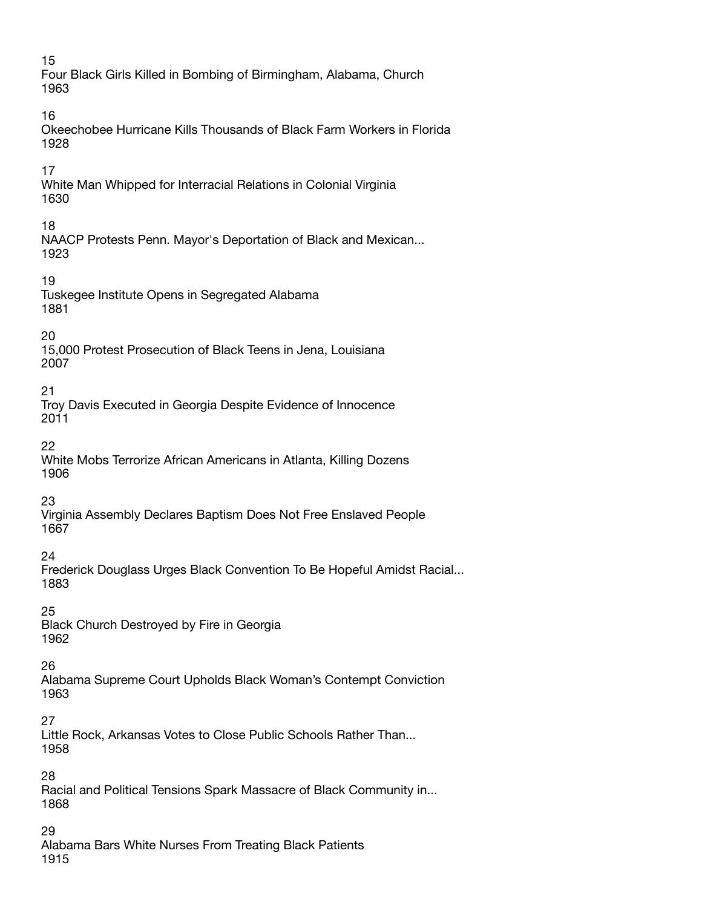# [Four Black Girls Killed in Bombing of Birmingham, Alabama, Church](https://calendar.eji.org/racial-injustice/sep/15) [Okeechobee Hurricane Kills Thousands of Black Farm Workers in Florida](https://calendar.eji.org/racial-injustice/sep/16) [White Man Whipped for Interracial Relations in Colonial Virginia](https://calendar.eji.org/racial-injustice/sep/17) [NAACP Protests Penn. Mayor's Deportation of Black and Mexican...](https://calendar.eji.org/racial-injustice/sep/18) [Tuskegee Institute Opens in Segregated Alabama](https://calendar.eji.org/racial-injustice/sep/19) [15,000 Protest Prosecution of Black Teens in Jena, Louisiana](https://calendar.eji.org/racial-injustice/sep/20) [Troy Davis Executed in Georgia Despite Evidence of Innocence](https://calendar.eji.org/racial-injustice/sep/21) [White Mobs Terrorize African Americans in Atlanta, Killing Dozens](https://calendar.eji.org/racial-injustice/sep/22) [Virginia Assembly Declares Baptism Does Not Free Enslaved People](https://calendar.eji.org/racial-injustice/sep/23) [Frederick Douglass Urges Black Convention To Be Hopeful Amidst Racial...](https://calendar.eji.org/racial-injustice/sep/24) [Black Church Destroyed by Fire in Georgia](https://calendar.eji.org/racial-injustice/sep/25)

#### 

[Alabama Supreme Court Upholds Black Woman's Contempt Conviction](https://calendar.eji.org/racial-injustice/sep/26) 

#### 

[Little Rock, Arkansas Votes to Close Public Schools Rather Than...](https://calendar.eji.org/racial-injustice/sep/27) 

# 

[Racial and Political Tensions Spark Massacre of Black Community in...](https://calendar.eji.org/racial-injustice/sep/28) 

### 

[Alabama Bars White Nurses From Treating Black Patients](https://calendar.eji.org/racial-injustice/sep/29)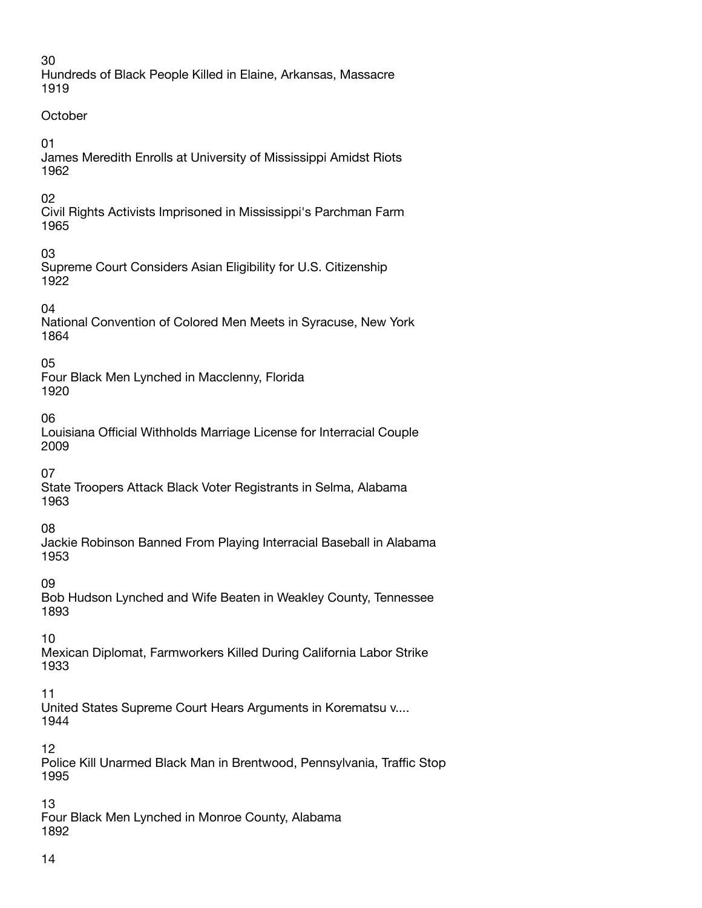#### 

[Hundreds of Black People Killed in Elaine, Arkansas, Massacre](https://calendar.eji.org/racial-injustice/sep/30) 

## **October**

## 

[James Meredith Enrolls at University of Mississippi Amidst Riots](https://calendar.eji.org/racial-injustice/oct/1) 

## 

[Civil Rights Activists Imprisoned in Mississippi's Parchman Farm](https://calendar.eji.org/racial-injustice/oct/2) 

## 

[Supreme Court Considers Asian Eligibility for U.S. Citizenship](https://calendar.eji.org/racial-injustice/oct/3) 

# 

[National Convention of Colored Men Meets in Syracuse, New York](https://calendar.eji.org/racial-injustice/oct/4) 

# 

[Four Black Men Lynched in Macclenny, Florida](https://calendar.eji.org/racial-injustice/oct/5) 

# 

Louisiana Offi[cial Withholds Marriage License for Interracial Couple](https://calendar.eji.org/racial-injustice/oct/6) 

# 

[State Troopers Attack Black Voter Registrants in Selma, Alabama](https://calendar.eji.org/racial-injustice/oct/7) 

# 

[Jackie Robinson Banned From Playing Interracial Baseball in Alabama](https://calendar.eji.org/racial-injustice/oct/8) 

# 

[Bob Hudson Lynched and Wife Beaten in Weakley County, Tennessee](https://calendar.eji.org/racial-injustice/oct/9) 

# 

[Mexican Diplomat, Farmworkers Killed During California Labor Strike](https://calendar.eji.org/racial-injustice/oct/10) 

# 

[United States Supreme Court Hears Arguments in Korematsu v....](https://calendar.eji.org/racial-injustice/oct/11) 

# 

[Police Kill Unarmed Black Man in Brentwood, Pennsylvania, Tra](https://calendar.eji.org/racial-injustice/oct/12)ffic Stop 

# 

[Four Black Men Lynched in Monroe County, Alabama](https://calendar.eji.org/racial-injustice/oct/13) 

###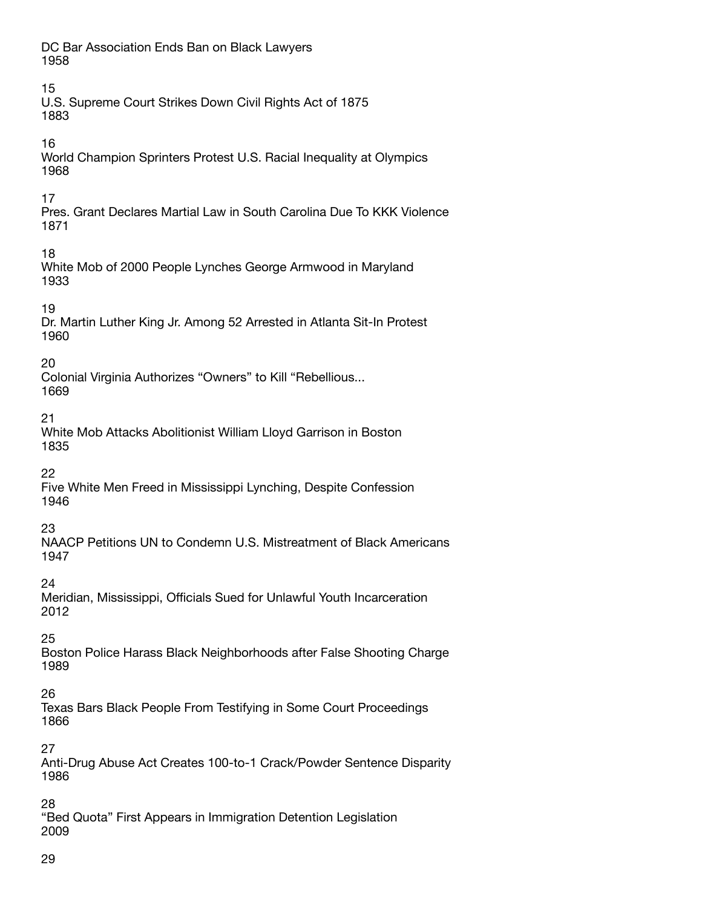#### [DC Bar Association Ends Ban on Black Lawyers](https://calendar.eji.org/racial-injustice/oct/14)

## 

[U.S. Supreme Court Strikes Down Civil Rights Act of 1875](https://calendar.eji.org/racial-injustice/oct/15) 

## 

[World Champion Sprinters Protest U.S. Racial Inequality at Olympics](https://calendar.eji.org/racial-injustice/oct/16) 

## 

[Pres. Grant Declares Martial Law in South Carolina Due To KKK Violence](https://calendar.eji.org/racial-injustice/oct/17) 

## 

[White Mob of 2000 People Lynches George Armwood in Maryland](https://calendar.eji.org/racial-injustice/oct/18) 

# 

[Dr. Martin Luther King Jr. Among 52 Arrested in Atlanta Sit-In Protest](https://calendar.eji.org/racial-injustice/oct/19) 

# 

[Colonial Virginia Authorizes "Owners" to Kill "Rebellious...](https://calendar.eji.org/racial-injustice/oct/20) 

# 

[White Mob Attacks Abolitionist William Lloyd Garrison in Boston](https://calendar.eji.org/racial-injustice/oct/21) 

# 

[Five White Men Freed in Mississippi Lynching, Despite Confession](https://calendar.eji.org/racial-injustice/oct/22) 

# 

[NAACP Petitions UN to Condemn U.S. Mistreatment of Black Americans](https://calendar.eji.org/racial-injustice/oct/23) 

# 

Meridian, Mississippi, Offi[cials Sued for Unlawful Youth Incarceration](https://calendar.eji.org/racial-injustice/oct/24) 

# 

[Boston Police Harass Black Neighborhoods after False Shooting Charge](https://calendar.eji.org/racial-injustice/oct/25) 

# 

[Texas Bars Black People From Testifying in Some Court Proceedings](https://calendar.eji.org/racial-injustice/oct/26) 

# 

[Anti-Drug Abuse Act Creates 100-to-1 Crack/Powder Sentence Disparity](https://calendar.eji.org/racial-injustice/oct/27) 

# 

["Bed Quota" First Appears in Immigration Detention Legislation](https://calendar.eji.org/racial-injustice/oct/28) 

###